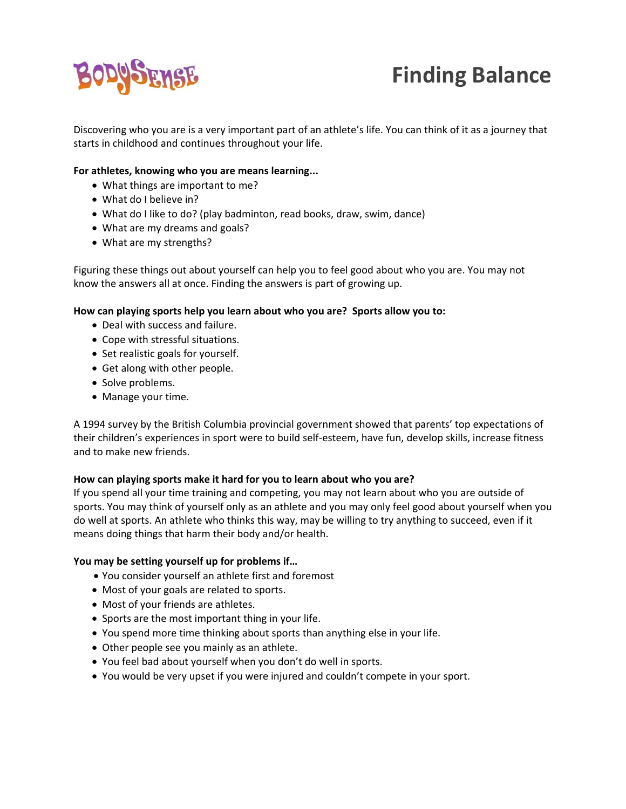

# **Finding Balance**

Discovering who you are is a very important part of an athlete's life. You can think of it as a journey that starts in childhood and continues throughout your life.

### **For athletes, knowing who you are means learning...**

- What things are important to me?
- What do I believe in?
- What do I like to do? (play badminton, read books, draw, swim, dance)
- What are my dreams and goals?
- What are my strengths?

Figuring these things out about yourself can help you to feel good about who you are. You may not know the answers all at once. Finding the answers is part of growing up.

#### **How can playing sports help you learn about who you are? Sports allow you to:**

- Deal with success and failure.
- Cope with stressful situations.
- Set realistic goals for yourself.
- Get along with other people.
- Solve problems.
- Manage your time.

A 1994 survey by the British Columbia provincial government showed that parents' top expectations of their children's experiences in sport were to build self‐esteem, have fun, develop skills, increase fitness and to make new friends.

#### **How can playing sports make it hard for you to learn about who you are?**

If you spend all your time training and competing, you may not learn about who you are outside of sports. You may think of yourself only as an athlete and you may only feel good about yourself when you do well at sports. An athlete who thinks this way, may be willing to try anything to succeed, even if it means doing things that harm their body and/or health.

#### **You may be setting yourself up for problems if…**

- You consider yourself an athlete first and foremost
- Most of your goals are related to sports.
- Most of your friends are athletes.
- Sports are the most important thing in your life.
- You spend more time thinking about sports than anything else in your life.
- Other people see you mainly as an athlete.
- You feel bad about yourself when you don't do well in sports.
- You would be very upset if you were injured and couldn't compete in your sport.